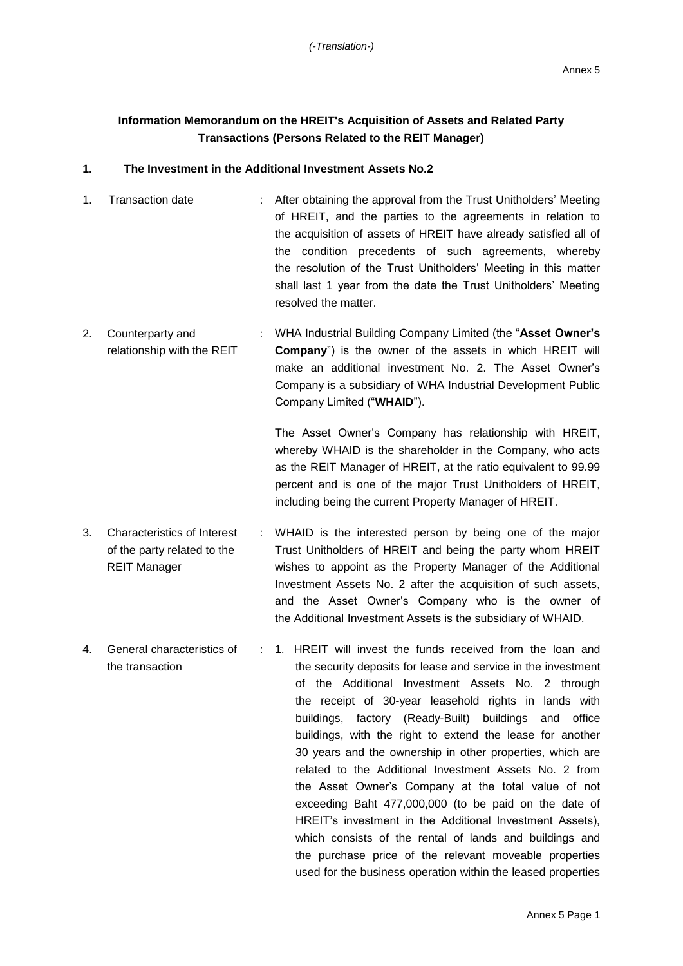## **Information Memorandum on the HREIT's Acquisition of Assets and Related Party Transactions (Persons Related to the REIT Manager)**

## **1. The Investment in the Additional Investment Assets No.2**

- 1. Transaction date : After obtaining the approval from the Trust Unitholders' Meeting of HREIT, and the parties to the agreements in relation to the acquisition of assets of HREIT have already satisfied all of the condition precedents of such agreements, whereby the resolution of the Trust Unitholders' Meeting in this matter shall last 1 year from the date the Trust Unitholders' Meeting resolved the matter.
- 2. Counterparty and relationship with the REIT : WHA Industrial Building Company Limited (the "**Asset Owner's Company**") is the owner of the assets in which HREIT will make an additional investment No. 2. The Asset Owner's Company is a subsidiary of WHA Industrial Development Public Company Limited ("**WHAID**").

The Asset Owner's Company has relationship with HREIT, whereby WHAID is the shareholder in the Company, who acts as the REIT Manager of HREIT, at the ratio equivalent to 99.99 percent and is one of the major Trust Unitholders of HREIT, including being the current Property Manager of HREIT.

- 3. Characteristics of Interest of the party related to the REIT Manager : WHAID is the interested person by being one of the major Trust Unitholders of HREIT and being the party whom HREIT wishes to appoint as the Property Manager of the Additional Investment Assets No. 2 after the acquisition of such assets, and the Asset Owner's Company who is the owner of the Additional Investment Assets is the subsidiary of WHAID.
- 4. General characteristics of the transaction : 1. HREIT will invest the funds received from the loan and the security deposits for lease and service in the investment of the Additional Investment Assets No. 2 through the receipt of 30-year leasehold rights in lands with buildings, factory (Ready-Built) buildings and office buildings, with the right to extend the lease for another 30 years and the ownership in other properties, which are related to the Additional Investment Assets No. 2 from the Asset Owner's Company at the total value of not exceeding Baht 477,000,000 (to be paid on the date of HREIT's investment in the Additional Investment Assets), which consists of the rental of lands and buildings and the purchase price of the relevant moveable properties used for the business operation within the leased properties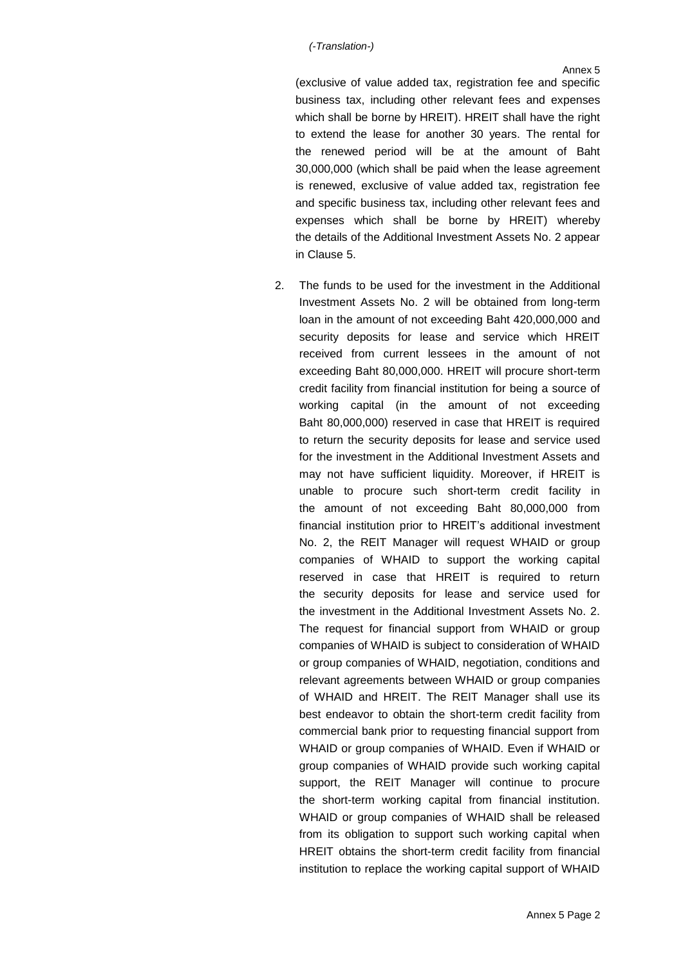(exclusive of value added tax, registration fee and specific business tax, including other relevant fees and expenses which shall be borne by HREIT). HREIT shall have the right to extend the lease for another 30 years. The rental for the renewed period will be at the amount of Baht 30,000,000 (which shall be paid when the lease agreement is renewed, exclusive of value added tax, registration fee and specific business tax, including other relevant fees and expenses which shall be borne by HREIT) whereby the details of the Additional Investment Assets No. 2 appear in Clause 5.

2. The funds to be used for the investment in the Additional Investment Assets No. 2 will be obtained from long-term loan in the amount of not exceeding Baht 420,000,000 and security deposits for lease and service which HREIT received from current lessees in the amount of not exceeding Baht 80,000,000. HREIT will procure short-term credit facility from financial institution for being a source of working capital (in the amount of not exceeding Baht 80,000,000) reserved in case that HREIT is required to return the security deposits for lease and service used for the investment in the Additional Investment Assets and may not have sufficient liquidity. Moreover, if HREIT is unable to procure such short-term credit facility in the amount of not exceeding Baht 80,000,000 from financial institution prior to HREIT's additional investment No. 2, the REIT Manager will request WHAID or group companies of WHAID to support the working capital reserved in case that HREIT is required to return the security deposits for lease and service used for the investment in the Additional Investment Assets No. 2. The request for financial support from WHAID or group companies of WHAID is subject to consideration of WHAID or group companies of WHAID, negotiation, conditions and relevant agreements between WHAID or group companies of WHAID and HREIT. The REIT Manager shall use its best endeavor to obtain the short-term credit facility from commercial bank prior to requesting financial support from WHAID or group companies of WHAID. Even if WHAID or group companies of WHAID provide such working capital support, the REIT Manager will continue to procure the short-term working capital from financial institution. WHAID or group companies of WHAID shall be released from its obligation to support such working capital when HREIT obtains the short-term credit facility from financial institution to replace the working capital support of WHAID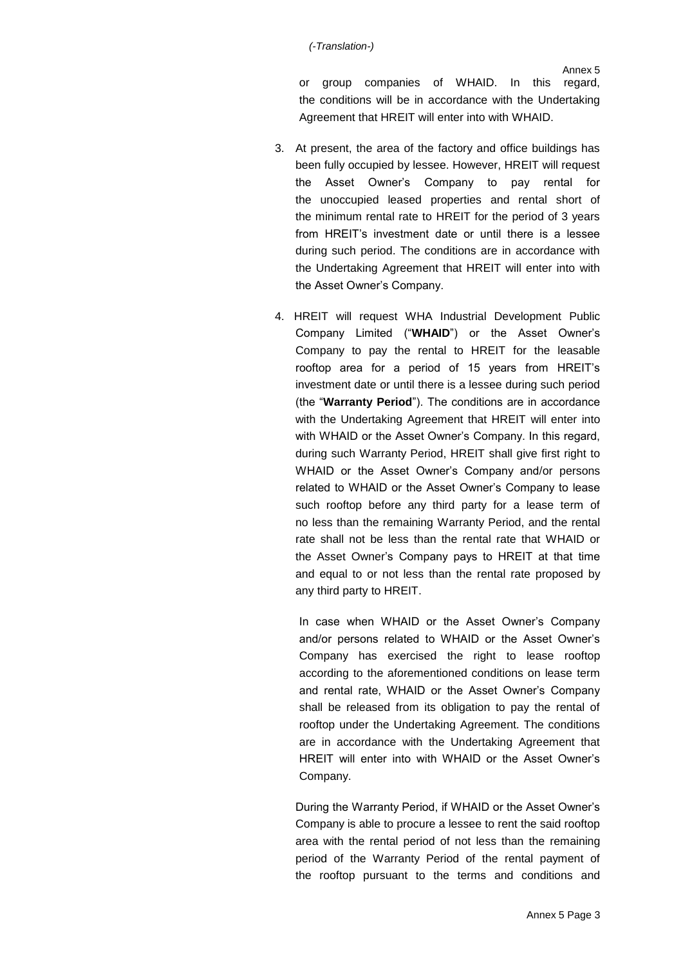or group companies of WHAID. In this regard, the conditions will be in accordance with the Undertaking Agreement that HREIT will enter into with WHAID.

- 3. At present, the area of the factory and office buildings has been fully occupied by lessee. However, HREIT will request the Asset Owner's Company to pay rental for the unoccupied leased properties and rental short of the minimum rental rate to HREIT for the period of 3 years from HREIT's investment date or until there is a lessee during such period. The conditions are in accordance with the Undertaking Agreement that HREIT will enter into with the Asset Owner's Company.
- 4. HREIT will request WHA Industrial Development Public Company Limited ("**WHAID**") or the Asset Owner's Company to pay the rental to HREIT for the leasable rooftop area for a period of 15 years from HREIT's investment date or until there is a lessee during such period (the "**Warranty Period**"). The conditions are in accordance with the Undertaking Agreement that HREIT will enter into with WHAID or the Asset Owner's Company. In this regard, during such Warranty Period, HREIT shall give first right to WHAID or the Asset Owner's Company and/or persons related to WHAID or the Asset Owner's Company to lease such rooftop before any third party for a lease term of no less than the remaining Warranty Period, and the rental rate shall not be less than the rental rate that WHAID or the Asset Owner's Company pays to HREIT at that time and equal to or not less than the rental rate proposed by any third party to HREIT.

In case when WHAID or the Asset Owner's Company and/or persons related to WHAID or the Asset Owner's Company has exercised the right to lease rooftop according to the aforementioned conditions on lease term and rental rate, WHAID or the Asset Owner's Company shall be released from its obligation to pay the rental of rooftop under the Undertaking Agreement. The conditions are in accordance with the Undertaking Agreement that HREIT will enter into with WHAID or the Asset Owner's Company.

During the Warranty Period, if WHAID or the Asset Owner's Company is able to procure a lessee to rent the said rooftop area with the rental period of not less than the remaining period of the Warranty Period of the rental payment of the rooftop pursuant to the terms and conditions and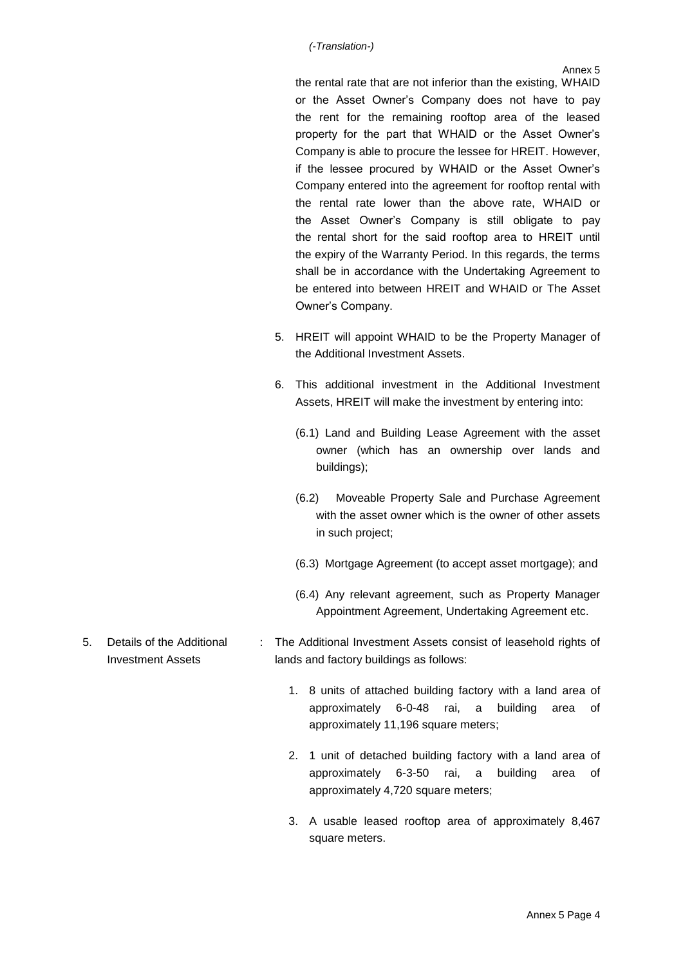Annex 5

the rental rate that are not inferior than the existing, WHAID or the Asset Owner's Company does not have to pay the rent for the remaining rooftop area of the leased property for the part that WHAID or the Asset Owner's Company is able to procure the lessee for HREIT. However, if the lessee procured by WHAID or the Asset Owner's Company entered into the agreement for rooftop rental with the rental rate lower than the above rate, WHAID or the Asset Owner's Company is still obligate to pay the rental short for the said rooftop area to HREIT until the expiry of the Warranty Period. In this regards, the terms shall be in accordance with the Undertaking Agreement to be entered into between HREIT and WHAID or The Asset Owner's Company.

- 5. HREIT will appoint WHAID to be the Property Manager of the Additional Investment Assets.
- 6. This additional investment in the Additional Investment Assets, HREIT will make the investment by entering into:
	- (6.1) Land and Building Lease Agreement with the asset owner (which has an ownership over lands and buildings);
	- (6.2) Moveable Property Sale and Purchase Agreement with the asset owner which is the owner of other assets in such project;
	- (6.3) Mortgage Agreement (to accept asset mortgage); and
	- (6.4) Any relevant agreement, such as Property Manager Appointment Agreement, Undertaking Agreement etc.
- 5. Details of the Additional Investment Assets : The Additional Investment Assets consist of leasehold rights of lands and factory buildings as follows:
	- 1. 8 units of attached building factory with a land area of approximately 6-0-48 rai, a building area of approximately 11,196 square meters:
	- 2. 1 unit of detached building factory with a land area of approximately 6-3-50 rai, a building area of approximately 4,720 square meters;
	- 3. A usable leased rooftop area of approximately 8,467 square meters.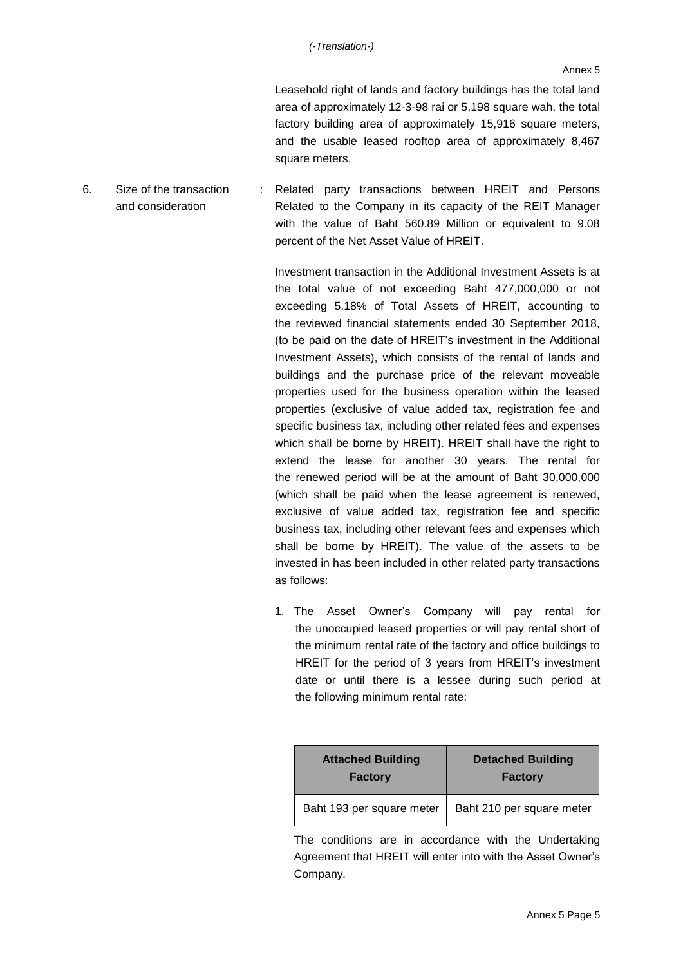Leasehold right of lands and factory buildings has the total land area of approximately 12-3-98 rai or 5,198 square wah, the total factory building area of approximately 15,916 square meters, and the usable leased rooftop area of approximately 8,467 square meters.

6. Size of the transaction and consideration : Related party transactions between HREIT and Persons Related to the Company in its capacity of the REIT Manager with the value of Baht 560.89 Million or equivalent to 9.08 percent of the Net Asset Value of HREIT.

> Investment transaction in the Additional Investment Assets is at the total value of not exceeding Baht 477,000,000 or not exceeding 5.18% of Total Assets of HREIT, accounting to the reviewed financial statements ended 30 September 2018, (to be paid on the date of HREIT's investment in the Additional Investment Assets), which consists of the rental of lands and buildings and the purchase price of the relevant moveable properties used for the business operation within the leased properties (exclusive of value added tax, registration fee and specific business tax, including other related fees and expenses which shall be borne by HREIT). HREIT shall have the right to extend the lease for another 30 years. The rental for the renewed period will be at the amount of Baht 30,000,000 (which shall be paid when the lease agreement is renewed, exclusive of value added tax, registration fee and specific business tax, including other relevant fees and expenses which shall be borne by HREIT). The value of the assets to be invested in has been included in other related party transactions as follows:

> 1. The Asset Owner's Company will pay rental for the unoccupied leased properties or will pay rental short of the minimum rental rate of the factory and office buildings to HREIT for the period of 3 years from HREIT's investment date or until there is a lessee during such period at the following minimum rental rate:

| <b>Attached Building</b>  | <b>Detached Building</b>  |  |
|---------------------------|---------------------------|--|
| <b>Factory</b>            | <b>Factory</b>            |  |
| Baht 193 per square meter | Baht 210 per square meter |  |

The conditions are in accordance with the Undertaking Agreement that HREIT will enter into with the Asset Owner's Company.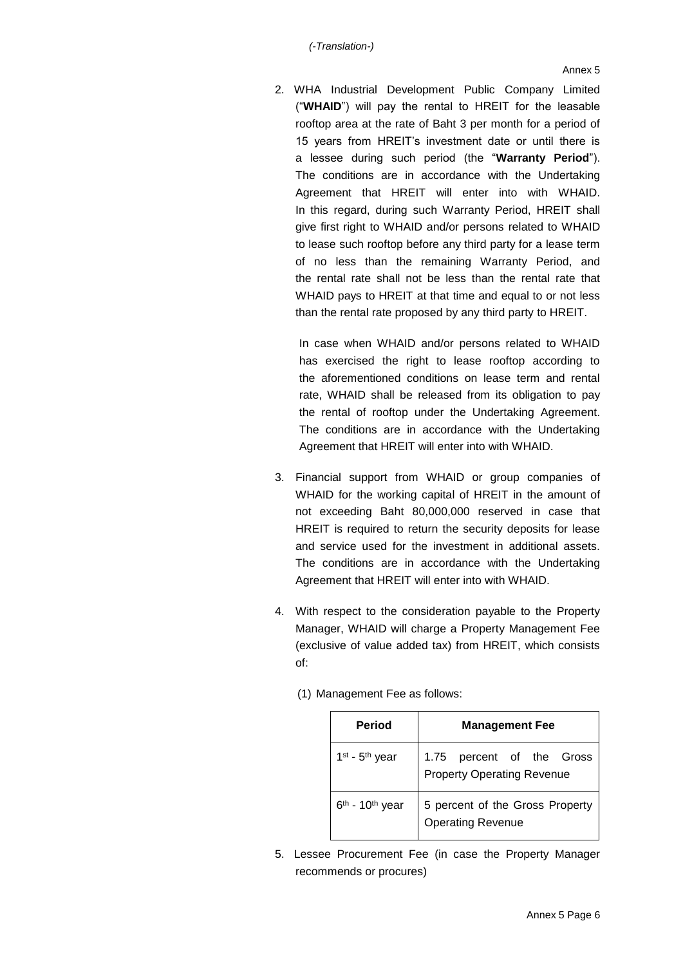2. WHA Industrial Development Public Company Limited ("**WHAID**") will pay the rental to HREIT for the leasable rooftop area at the rate of Baht 3 per month for a period of 15 years from HREIT's investment date or until there is a lessee during such period (the "**Warranty Period**"). The conditions are in accordance with the Undertaking Agreement that HREIT will enter into with WHAID. In this regard, during such Warranty Period, HREIT shall give first right to WHAID and/or persons related to WHAID to lease such rooftop before any third party for a lease term of no less than the remaining Warranty Period, and the rental rate shall not be less than the rental rate that WHAID pays to HREIT at that time and equal to or not less than the rental rate proposed by any third party to HREIT.

In case when WHAID and/or persons related to WHAID has exercised the right to lease rooftop according to the aforementioned conditions on lease term and rental rate, WHAID shall be released from its obligation to pay the rental of rooftop under the Undertaking Agreement. The conditions are in accordance with the Undertaking Agreement that HREIT will enter into with WHAID.

- 3. Financial support from WHAID or group companies of WHAID for the working capital of HREIT in the amount of not exceeding Baht 80,000,000 reserved in case that HREIT is required to return the security deposits for lease and service used for the investment in additional assets. The conditions are in accordance with the Undertaking Agreement that HREIT will enter into with WHAID.
- 4. With respect to the consideration payable to the Property Manager, WHAID will charge a Property Management Fee (exclusive of value added tax) from HREIT, which consists of:
	- (1) Management Fee as follows:

| <b>Period</b>                 | <b>Management Fee</b>                                          |  |  |  |
|-------------------------------|----------------------------------------------------------------|--|--|--|
| $1st$ - $5th$ year            | 1.75 percent of the Gross<br><b>Property Operating Revenue</b> |  |  |  |
| $6th$ - 10 <sup>th</sup> year | 5 percent of the Gross Property<br><b>Operating Revenue</b>    |  |  |  |

5. Lessee Procurement Fee (in case the Property Manager recommends or procures)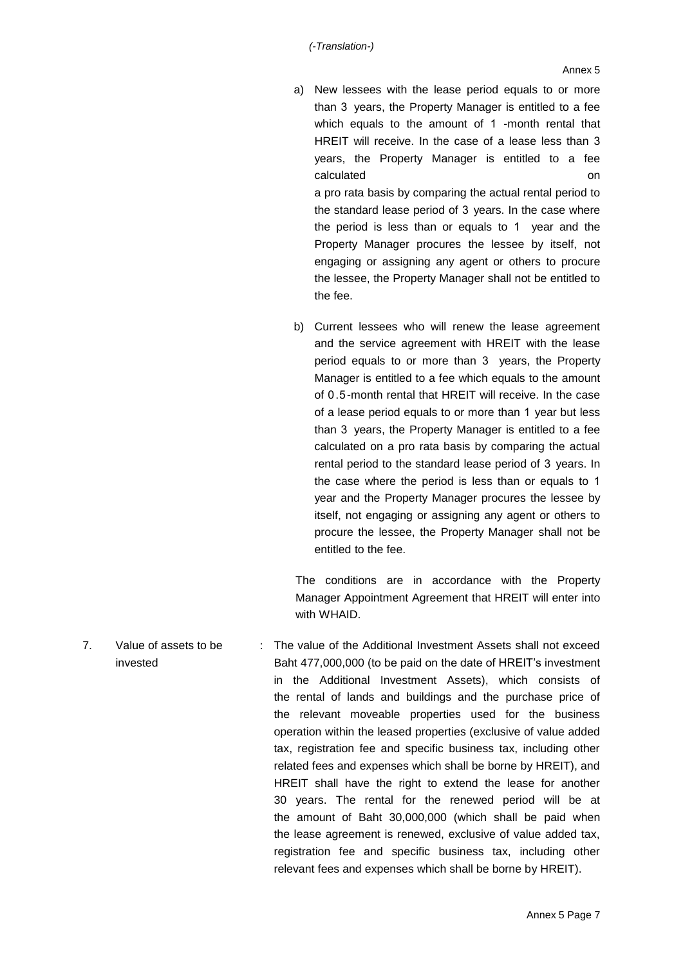- a) New lessees with the lease period equals to or more than 3 years, the Property Manager is entitled to a fee which equals to the amount of 1 -month rental that HREIT will receive. In the case of a lease less than 3 years, the Property Manager is entitled to a fee calculated on the control on the control on the control on the control on the control on the control on the control on the control on the control on the control on the control on the control on the control on the control o a pro rata basis by comparing the actual rental period to the standard lease period of 3 years. In the case where the period is less than or equals to 1 year and the Property Manager procures the lessee by itself, not engaging or assigning any agent or others to procure the lessee, the Property Manager shall not be entitled to the fee.
- b) Current lessees who will renew the lease agreement and the service agreement with HREIT with the lease period equals to or more than 3 years, the Property Manager is entitled to a fee which equals to the amount of 0.5-month rental that HREIT will receive. In the case of a lease period equals to or more than 1 year but less than 3 years, the Property Manager is entitled to a fee calculated on a pro rata basis by comparing the actual rental period to the standard lease period of 3 years. In the case where the period is less than or equals to 1 year and the Property Manager procures the lessee by itself, not engaging or assigning any agent or others to procure the lessee, the Property Manager shall not be entitled to the fee.

The conditions are in accordance with the Property Manager Appointment Agreement that HREIT will enter into with WHAID.

7. Value of assets to be invested : The value of the Additional Investment Assets shall not exceed Baht 477,000,000 (to be paid on the date of HREIT's investment in the Additional Investment Assets), which consists of the rental of lands and buildings and the purchase price of the relevant moveable properties used for the business operation within the leased properties (exclusive of value added tax, registration fee and specific business tax, including other related fees and expenses which shall be borne by HREIT), and HREIT shall have the right to extend the lease for another 30 years. The rental for the renewed period will be at the amount of Baht 30,000,000 (which shall be paid when the lease agreement is renewed, exclusive of value added tax, registration fee and specific business tax, including other relevant fees and expenses which shall be borne by HREIT).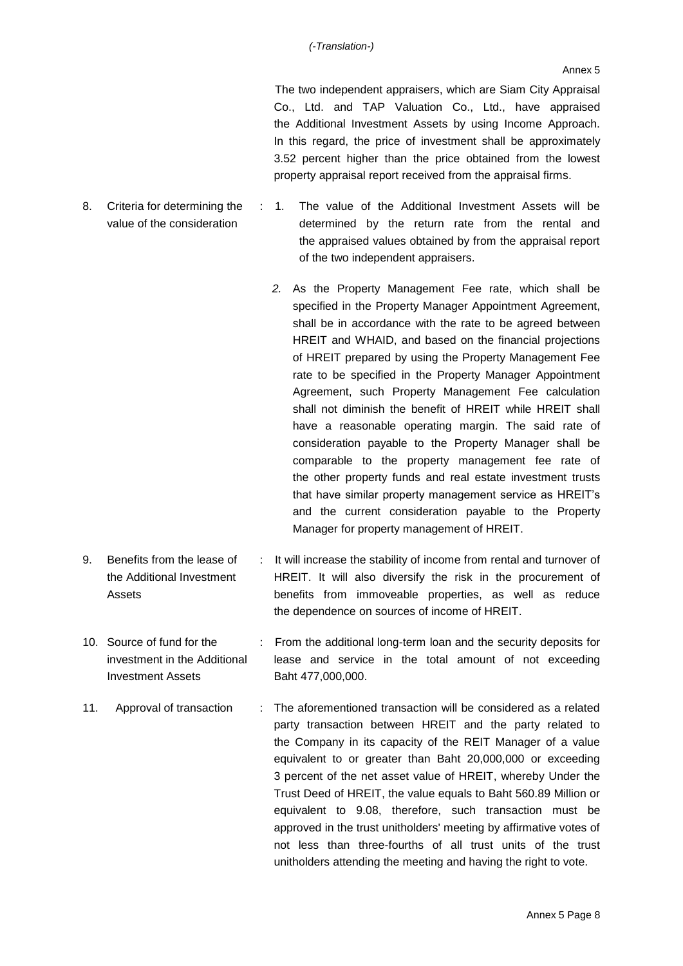The two independent appraisers, which are Siam City Appraisal Co., Ltd. and TAP Valuation Co., Ltd., have appraised the Additional Investment Assets by using Income Approach. In this regard, the price of investment shall be approximately 3.52 percent higher than the price obtained from the lowest property appraisal report received from the appraisal firms.

8. Criteria for determining the value of the consideration : 1. The value of the Additional Investment Assets will be determined by the return rate from the rental and the appraised values obtained by from the appraisal report

of the two independent appraisers.

- *2.* As the Property Management Fee rate, which shall be specified in the Property Manager Appointment Agreement, shall be in accordance with the rate to be agreed between HREIT and WHAID, and based on the financial projections of HREIT prepared by using the Property Management Fee rate to be specified in the Property Manager Appointment Agreement, such Property Management Fee calculation shall not diminish the benefit of HREIT while HREIT shall have a reasonable operating margin. The said rate of consideration payable to the Property Manager shall be comparable to the property management fee rate of the other property funds and real estate investment trusts that have similar property management service as HREIT's and the current consideration payable to the Property Manager for property management of HREIT.
- 9. Benefits from the lease of the Additional Investment Assets : It will increase the stability of income from rental and turnover of HREIT. It will also diversify the risk in the procurement of benefits from immoveable properties, as well as reduce the dependence on sources of income of HREIT.
- 10. Source of fund for the investment in the Additional Investment Assets : From the additional long-term loan and the security deposits for lease and service in the total amount of not exceeding Baht 477,000,000.
- 11. Approval of transaction : The aforementioned transaction will be considered as a related party transaction between HREIT and the party related to the Company in its capacity of the REIT Manager of a value equivalent to or greater than Baht 20,000,000 or exceeding 3 percent of the net asset value of HREIT, whereby Under the Trust Deed of HREIT, the value equals to Baht 560.89 Million or equivalent to 9.08, therefore, such transaction must be approved in the trust unitholders' meeting by affirmative votes of not less than three-fourths of all trust units of the trust unitholders attending the meeting and having the right to vote.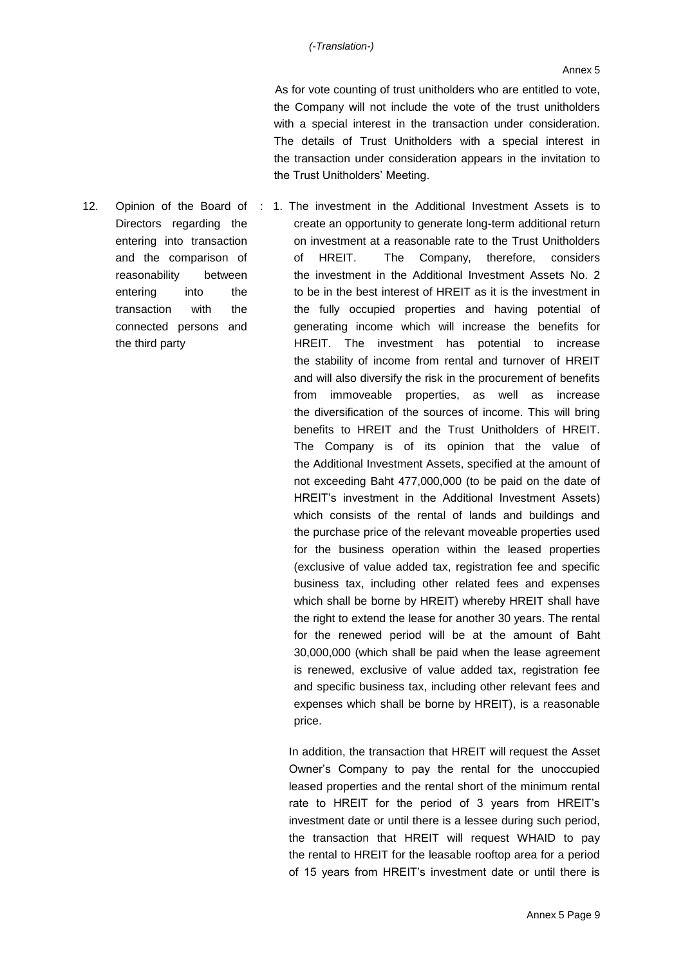As for vote counting of trust unitholders who are entitled to vote, the Company will not include the vote of the trust unitholders with a special interest in the transaction under consideration. The details of Trust Unitholders with a special interest in the transaction under consideration appears in the invitation to the Trust Unitholders' Meeting.

Directors regarding the entering into transaction and the comparison of reasonability between entering into the transaction with the connected persons and the third party

12. Opinion of the Board of : 1. The investment in the Additional Investment Assets is to create an opportunity to generate long-term additional return on investment at a reasonable rate to the Trust Unitholders of HREIT. The Company, therefore, considers the investment in the Additional Investment Assets No. 2 to be in the best interest of HREIT as it is the investment in the fully occupied properties and having potential of generating income which will increase the benefits for HREIT. The investment has potential to increase the stability of income from rental and turnover of HREIT and will also diversify the risk in the procurement of benefits from immoveable properties, as well as increase the diversification of the sources of income. This will bring benefits to HREIT and the Trust Unitholders of HREIT. The Company is of its opinion that the value of the Additional Investment Assets, specified at the amount of not exceeding Baht 477,000,000 (to be paid on the date of HREIT's investment in the Additional Investment Assets) which consists of the rental of lands and buildings and the purchase price of the relevant moveable properties used for the business operation within the leased properties (exclusive of value added tax, registration fee and specific business tax, including other related fees and expenses which shall be borne by HREIT) whereby HREIT shall have the right to extend the lease for another 30 years. The rental for the renewed period will be at the amount of Baht 30,000,000 (which shall be paid when the lease agreement is renewed, exclusive of value added tax, registration fee and specific business tax, including other relevant fees and expenses which shall be borne by HREIT), is a reasonable price.

> In addition, the transaction that HREIT will request the Asset Owner's Company to pay the rental for the unoccupied leased properties and the rental short of the minimum rental rate to HREIT for the period of 3 years from HREIT's investment date or until there is a lessee during such period, the transaction that HREIT will request WHAID to pay the rental to HREIT for the leasable rooftop area for a period of 15 years from HREIT's investment date or until there is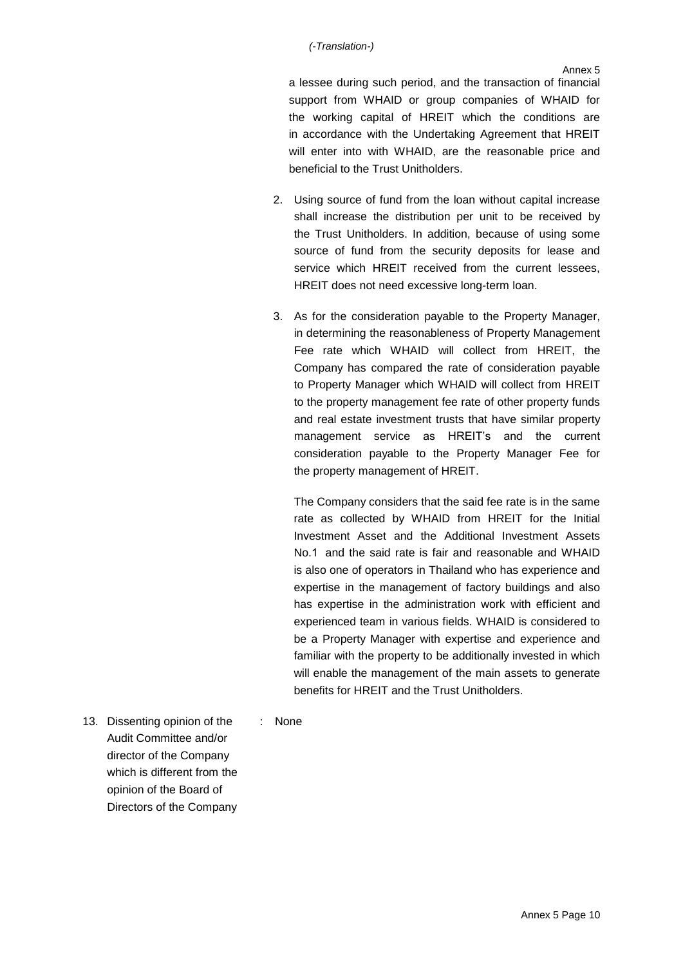a lessee during such period, and the transaction of financial support from WHAID or group companies of WHAID for the working capital of HREIT which the conditions are in accordance with the Undertaking Agreement that HREIT will enter into with WHAID, are the reasonable price and beneficial to the Trust Unitholders.

- 2. Using source of fund from the loan without capital increase shall increase the distribution per unit to be received by the Trust Unitholders. In addition, because of using some source of fund from the security deposits for lease and service which HREIT received from the current lessees, HREIT does not need excessive long-term loan.
- 3. As for the consideration payable to the Property Manager, in determining the reasonableness of Property Management Fee rate which WHAID will collect from HREIT, the Company has compared the rate of consideration payable to Property Manager which WHAID will collect from HREIT to the property management fee rate of other property funds and real estate investment trusts that have similar property management service as HREIT's and the current consideration payable to the Property Manager Fee for the property management of HREIT.

The Company considers that the said fee rate is in the same rate as collected by WHAID from HREIT for the Initial Investment Asset and the Additional Investment Assets No.1 and the said rate is fair and reasonable and WHAID is also one of operators in Thailand who has experience and expertise in the management of factory buildings and also has expertise in the administration work with efficient and experienced team in various fields. WHAID is considered to be a Property Manager with expertise and experience and familiar with the property to be additionally invested in which will enable the management of the main assets to generate benefits for HREIT and the Trust Unitholders.

13. Dissenting opinion of the Audit Committee and/or director of the Company which is different from the opinion of the Board of Directors of the Company

: None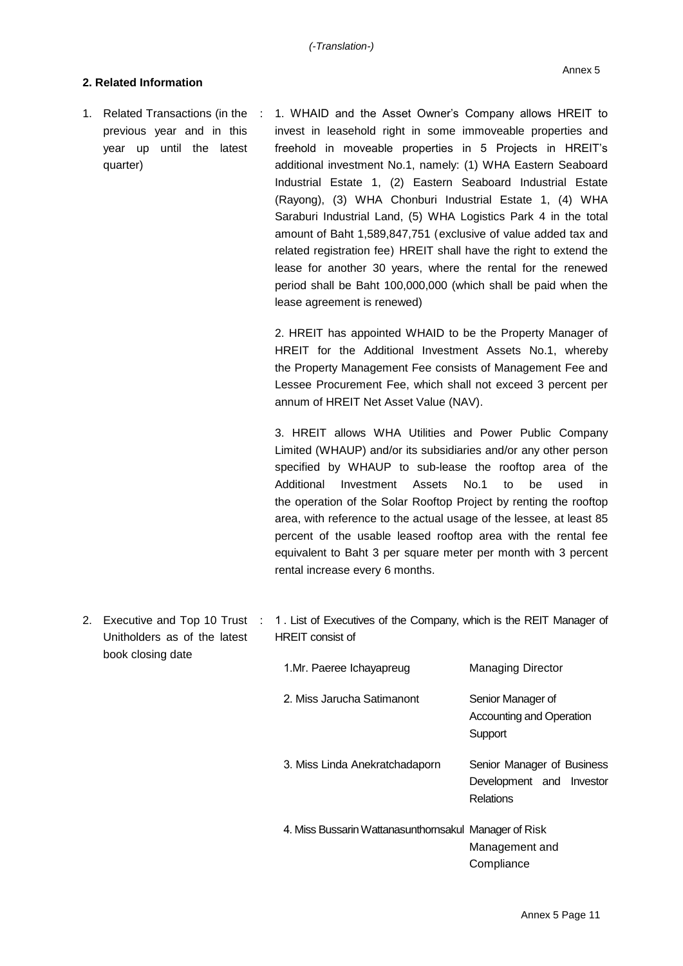## **2. Related Information**

1. Related Transactions (in the previous year and in this year up until the latest quarter) : 1. WHAID and the Asset Owner's Company allows HREIT to invest in leasehold right in some immoveable properties and freehold in moveable properties in 5 Projects in HREIT's additional investment No.1, namely: (1) WHA Eastern Seaboard Industrial Estate 1, (2) Eastern Seaboard Industrial Estate (Rayong), (3) WHA Chonburi Industrial Estate 1, (4) WHA Saraburi Industrial Land, (5) WHA Logistics Park 4 in the total amount of Baht 1,589,847,751 (exclusive of value added tax and related registration fee) HREIT shall have the right to extend the lease for another 30 years, where the rental for the renewed period shall be Baht 100,000,000 (which shall be paid when the lease agreement is renewed)

> 2. HREIT has appointed WHAID to be the Property Manager of HREIT for the Additional Investment Assets No.1, whereby the Property Management Fee consists of Management Fee and Lessee Procurement Fee, which shall not exceed 3 percent per annum of HREIT Net Asset Value (NAV).

> 3. HREIT allows WHA Utilities and Power Public Company Limited (WHAUP) and/or its subsidiaries and/or any other person specified by WHAUP to sub-lease the rooftop area of the Additional Investment Assets No.1 to be used in the operation of the Solar Rooftop Project by renting the rooftop area, with reference to the actual usage of the lessee, at least 85 percent of the usable leased rooftop area with the rental fee equivalent to Baht 3 per square meter per month with 3 percent rental increase every 6 months.

2. Executive and Top 10 Trust : 1. List of Executives of the Company, which is the REIT Manager of Unitholders as of the latest book closing date HREIT consist of

| 1.Mr. Paeree Ichayapreug                              | Managing Director                                                   |
|-------------------------------------------------------|---------------------------------------------------------------------|
| 2. Miss Jarucha Satimanont                            | Senior Manager of<br>Accounting and Operation<br>Support            |
| 3. Miss Linda Anekratchadaporn                        | Senior Manager of Business<br>Development and Investor<br>Relations |
| 4. Miss Bussarin Wattanasunthornsakul Manager of Risk | Management and<br>Compliance                                        |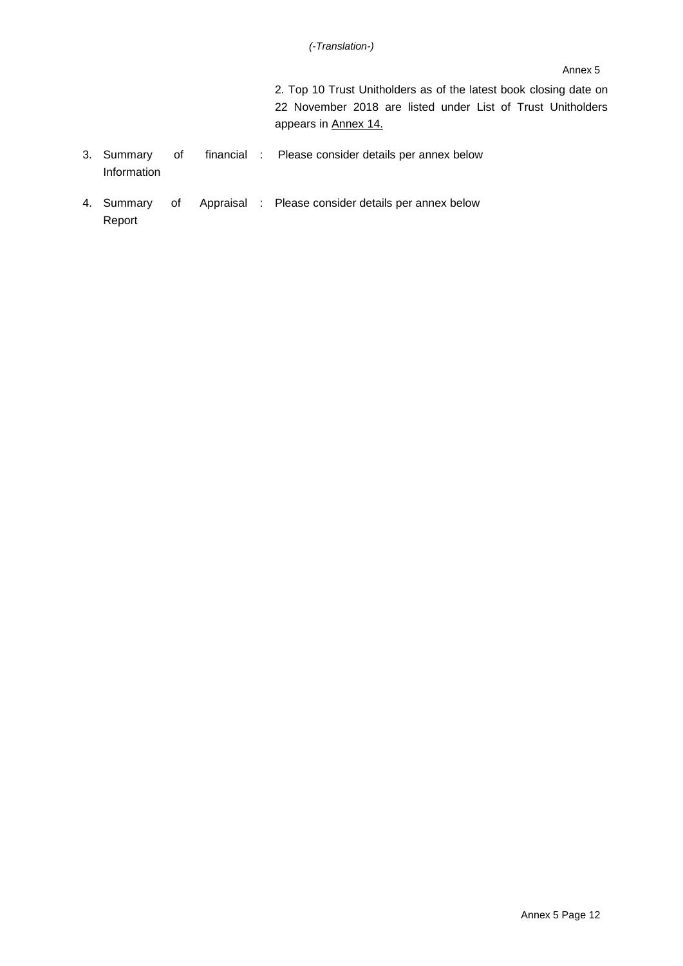#### Annex 5

2. Top 10 Trust Unitholders as of the latest book closing date on 22 November 2018 are listed under List of Trust Unitholders appears in Annex 14.

- 3. Summary of Information : Please consider details per annex below
- 4. Summary of Report Appraisal : Please consider details per annex below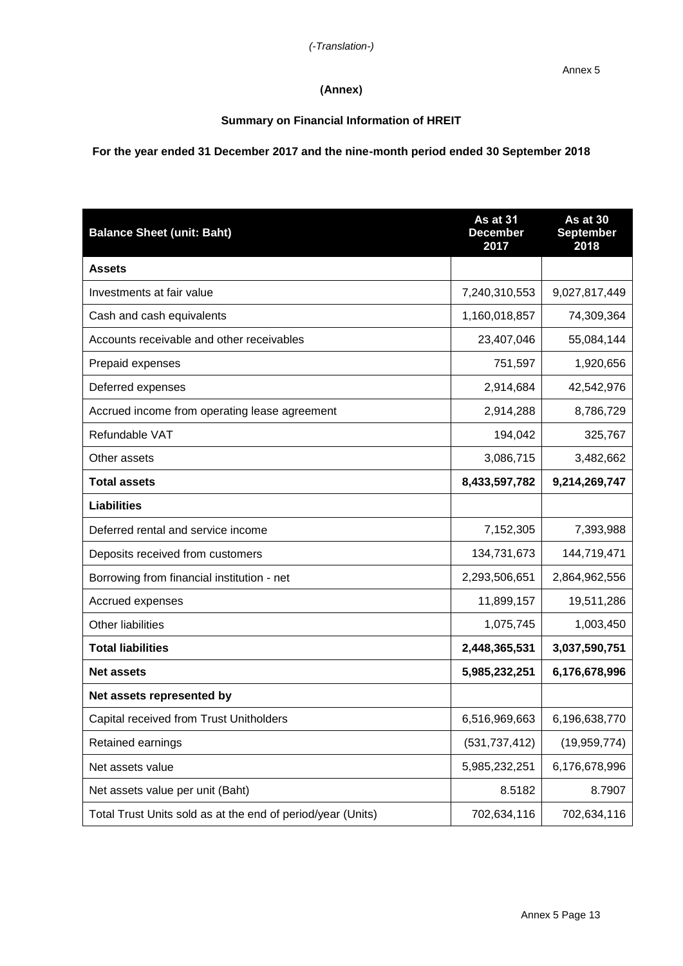# **(Annex)**

## **Summary on Financial Information of HREIT**

# **For the year ended 31 December 2017 and the nine-month period ended 30 September 2018**

| <b>Balance Sheet (unit: Baht)</b>                           | As at 31<br><b>December</b><br>2017 | As at 30<br><b>September</b><br>2018 |
|-------------------------------------------------------------|-------------------------------------|--------------------------------------|
| <b>Assets</b>                                               |                                     |                                      |
| Investments at fair value                                   | 7,240,310,553                       | 9,027,817,449                        |
| Cash and cash equivalents                                   | 1,160,018,857                       | 74,309,364                           |
| Accounts receivable and other receivables                   | 23,407,046                          | 55,084,144                           |
| Prepaid expenses                                            | 751,597                             | 1,920,656                            |
| Deferred expenses                                           | 2,914,684                           | 42,542,976                           |
| Accrued income from operating lease agreement               | 2,914,288                           | 8,786,729                            |
| Refundable VAT                                              | 194,042                             | 325,767                              |
| Other assets                                                | 3,086,715                           | 3,482,662                            |
| <b>Total assets</b>                                         | 8,433,597,782                       | 9,214,269,747                        |
| <b>Liabilities</b>                                          |                                     |                                      |
| Deferred rental and service income                          | 7,152,305                           | 7,393,988                            |
| Deposits received from customers                            | 134,731,673                         | 144,719,471                          |
| Borrowing from financial institution - net                  | 2,293,506,651                       | 2,864,962,556                        |
| Accrued expenses                                            | 11,899,157                          | 19,511,286                           |
| Other liabilities                                           | 1,075,745                           | 1,003,450                            |
| <b>Total liabilities</b>                                    | 2,448,365,531                       | 3,037,590,751                        |
| <b>Net assets</b>                                           | 5,985,232,251                       | 6,176,678,996                        |
| Net assets represented by                                   |                                     |                                      |
| Capital received from Trust Unitholders                     | 6,516,969,663                       | 6,196,638,770                        |
| Retained earnings                                           | (531, 737, 412)                     | (19, 959, 774)                       |
| Net assets value                                            | 5,985,232,251                       | 6,176,678,996                        |
| Net assets value per unit (Baht)                            | 8.5182                              | 8.7907                               |
| Total Trust Units sold as at the end of period/year (Units) | 702,634,116                         | 702,634,116                          |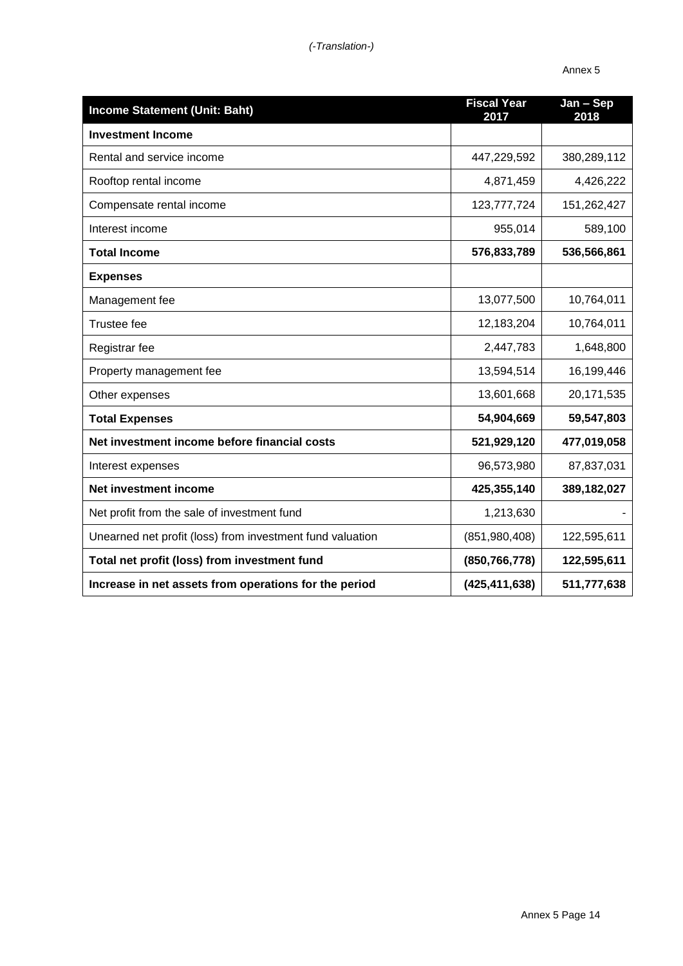| <b>Income Statement (Unit: Baht)</b>                      | <b>Fiscal Year</b><br>2017 | Jan - Sep<br>2018 |
|-----------------------------------------------------------|----------------------------|-------------------|
| <b>Investment Income</b>                                  |                            |                   |
| Rental and service income                                 | 447,229,592                | 380,289,112       |
| Rooftop rental income                                     | 4,871,459                  | 4,426,222         |
| Compensate rental income                                  | 123,777,724                | 151,262,427       |
| Interest income                                           | 955,014                    | 589,100           |
| <b>Total Income</b>                                       | 576,833,789                | 536,566,861       |
| <b>Expenses</b>                                           |                            |                   |
| Management fee                                            | 13,077,500                 | 10,764,011        |
| <b>Trustee fee</b>                                        | 12,183,204                 | 10,764,011        |
| Registrar fee                                             | 2,447,783                  | 1,648,800         |
| Property management fee                                   | 13,594,514                 | 16,199,446        |
| Other expenses                                            | 13,601,668                 | 20,171,535        |
| <b>Total Expenses</b>                                     | 54,904,669                 | 59,547,803        |
| Net investment income before financial costs              | 521,929,120                | 477,019,058       |
| Interest expenses                                         | 96,573,980                 | 87,837,031        |
| <b>Net investment income</b>                              | 425,355,140                | 389,182,027       |
| Net profit from the sale of investment fund               | 1,213,630                  |                   |
| Unearned net profit (loss) from investment fund valuation | (851,980,408)              | 122,595,611       |
| Total net profit (loss) from investment fund              | (850, 766, 778)            | 122,595,611       |
| Increase in net assets from operations for the period     | (425, 411, 638)            | 511,777,638       |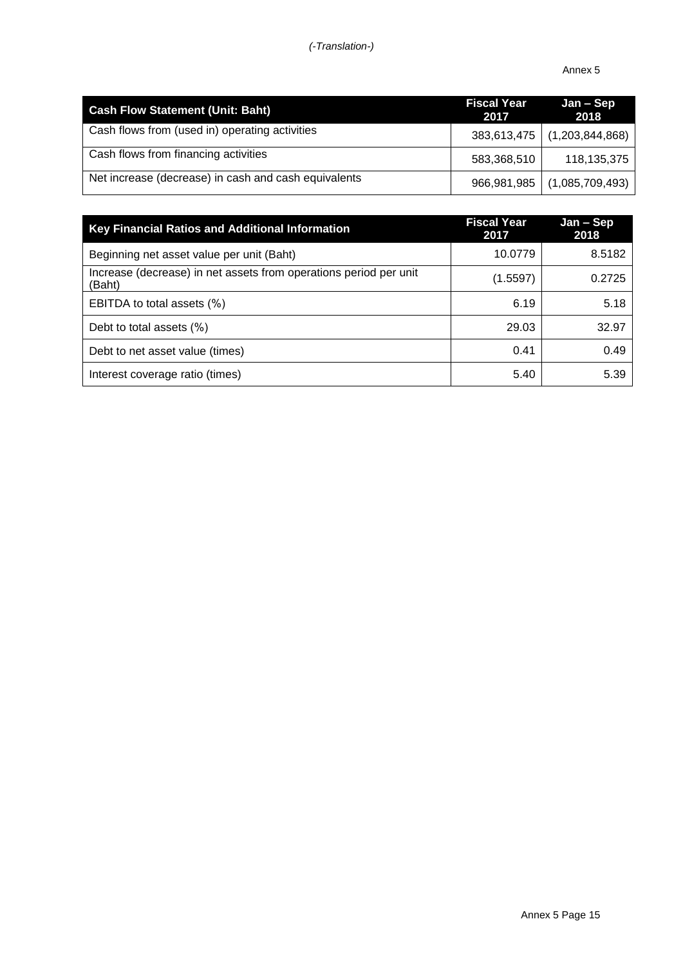| <b>Cash Flow Statement (Unit: Baht)</b>              | <b>Fiscal Year</b><br>2017 | Jan – Sep<br>2018             |
|------------------------------------------------------|----------------------------|-------------------------------|
| Cash flows from (used in) operating activities       |                            | 383,613,475 (1,203,844,868)   |
| Cash flows from financing activities                 | 583,368,510                | 118,135,375                   |
| Net increase (decrease) in cash and cash equivalents |                            | 966,981,985   (1,085,709,493) |

| <b>Key Financial Ratios and Additional Information</b>                      | <b>Fiscal Year</b><br>2017 | Jan - Sep<br>2018 |
|-----------------------------------------------------------------------------|----------------------------|-------------------|
| Beginning net asset value per unit (Baht)                                   | 10.0779                    | 8.5182            |
| Increase (decrease) in net assets from operations period per unit<br>(Baht) | (1.5597)                   | 0.2725            |
| EBITDA to total assets (%)                                                  | 6.19                       | 5.18              |
| Debt to total assets (%)                                                    | 29.03                      | 32.97             |
| Debt to net asset value (times)                                             | 0.41                       | 0.49              |
| Interest coverage ratio (times)                                             | 5.40                       | 5.39              |